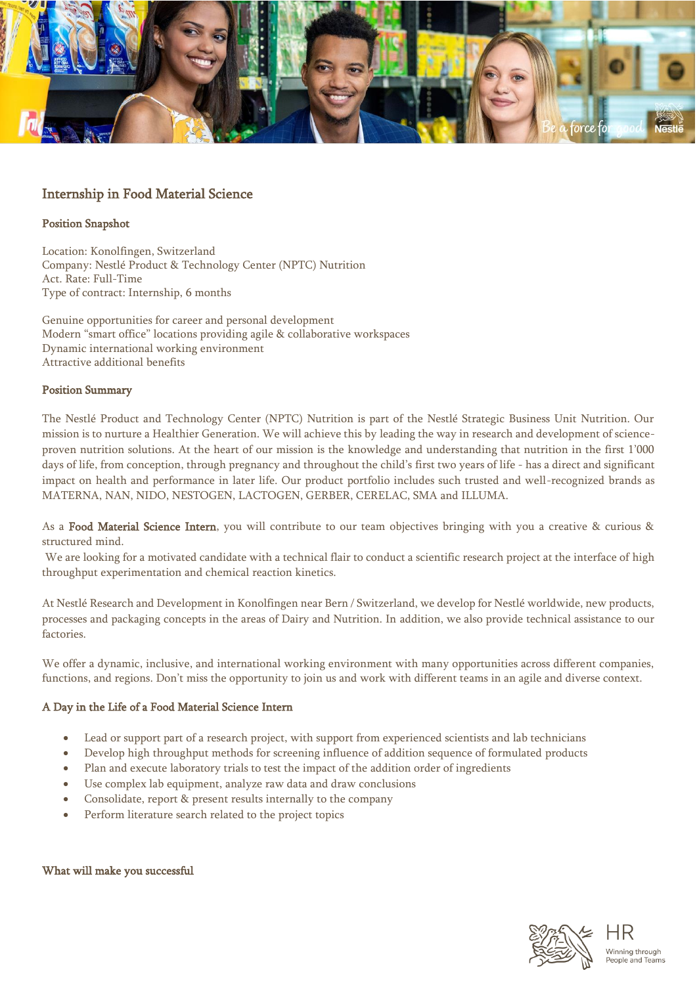

# Internship in Food Material Science

## Position Snapshot

Location: Konolfingen, Switzerland Company: Nestlé Product & Technology Center (NPTC) Nutrition Act. Rate: Full-Time Type of contract: Internship, 6 months

Genuine opportunities for career and personal development Modern "smart office" locations providing agile & collaborative workspaces Dynamic international working environment Attractive additional benefits

### Position Summary

The Nestlé Product and Technology Center (NPTC) Nutrition is part of the Nestlé Strategic Business Unit Nutrition. Our mission is to nurture a Healthier Generation. We will achieve this by leading the way in research and development of scienceproven nutrition solutions. At the heart of our mission is the knowledge and understanding that nutrition in the first 1'000 days of life, from conception, through pregnancy and throughout the child's first two years of life - has a direct and significant impact on health and performance in later life. Our product portfolio includes such trusted and well-recognized brands as MATERNA, NAN, NIDO, NESTOGEN, LACTOGEN, GERBER, CERELAC, SMA and ILLUMA.

As a Food Material Science Intern, you will contribute to our team objectives bringing with you a creative & curious & structured mind.

We are looking for a motivated candidate with a technical flair to conduct a scientific research project at the interface of high throughput experimentation and chemical reaction kinetics.

At Nestlé Research and Development in Konolfingen near Bern / Switzerland, we develop for Nestlé worldwide, new products, processes and packaging concepts in the areas of Dairy and Nutrition. In addition, we also provide technical assistance to our factories.

We offer a dynamic, inclusive, and international working environment with many opportunities across different companies, functions, and regions. Don't miss the opportunity to join us and work with different teams in an agile and diverse context.

# A Day in the Life of a Food Material Science Intern

- Lead or support part of a research project, with support from experienced scientists and lab technicians
- Develop high throughput methods for screening influence of addition sequence of formulated products
- Plan and execute laboratory trials to test the impact of the addition order of ingredients
- Use complex lab equipment, analyze raw data and draw conclusions
- Consolidate, report & present results internally to the company
- Perform literature search related to the project topics

#### What will make you successful